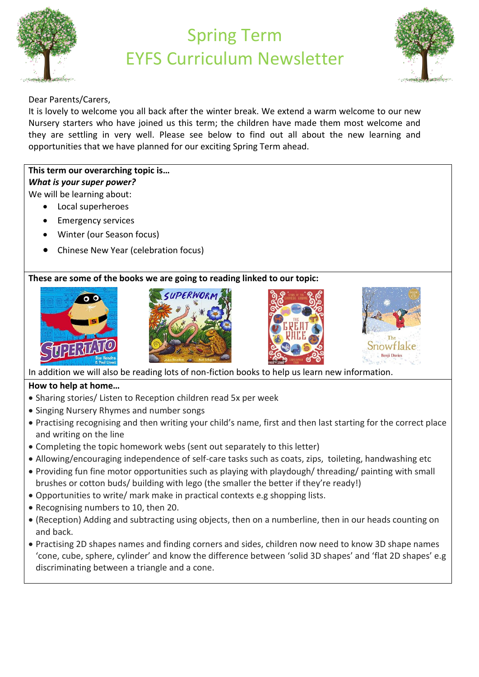

## Spring Term EYFS Curriculum Newsletter



Dear Parents/Carers,

It is lovely to welcome you all back after the winter break. We extend a warm welcome to our new Nursery starters who have joined us this term; the children have made them most welcome and they are settling in very well. Please see below to find out all about the new learning and opportunities that we have planned for our exciting Spring Term ahead.

## **This term our overarching topic is…** *What is your super power?*  We will be learning about:

- Local superheroes
- Emergency services
- Winter (our Season focus)
- Chinese New Year (celebration focus)

## **These are some of the books we are going to reading linked to our topic:**









In addition we will also be reading lots of non-fiction books to help us learn new information.

## **How to help at home…**

- Sharing stories/ Listen to Reception children read 5x per week
- Singing Nursery Rhymes and number songs
- Practising recognising and then writing your child's name, first and then last starting for the correct place and writing on the line
- Completing the topic homework webs (sent out separately to this letter)
- Allowing/encouraging independence of self-care tasks such as coats, zips, toileting, handwashing etc
- Providing fun fine motor opportunities such as playing with playdough/ threading/ painting with small brushes or cotton buds/ building with lego (the smaller the better if they're ready!)
- Opportunities to write/ mark make in practical contexts e.g shopping lists.
- Recognising numbers to 10, then 20.
- (Reception) Adding and subtracting using objects, then on a numberline, then in our heads counting on and back.
- Practising 2D shapes names and finding corners and sides, children now need to know 3D shape names 'cone, cube, sphere, cylinder' and know the difference between 'solid 3D shapes' and 'flat 2D shapes' e.g discriminating between a triangle and a cone.